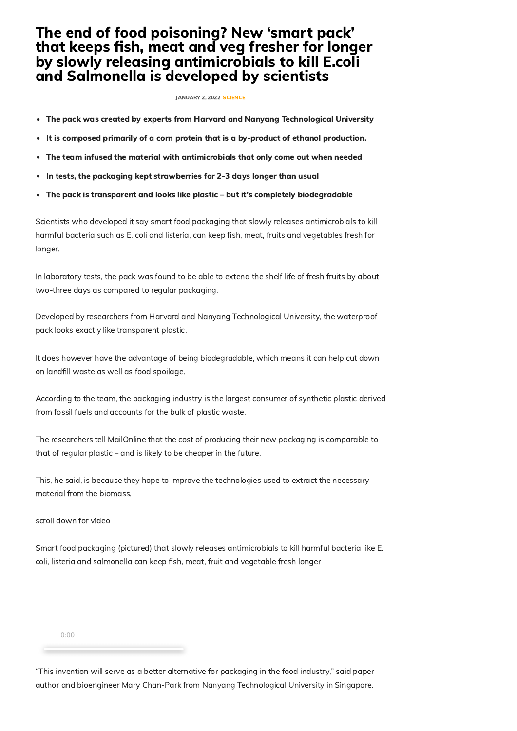## The end of food poisoning? New 'smart pack' that keeps fish, meat and veg fresher for longer by slowly releasing antimicrobials to kill E.coli and Salmonella is developed by scientists

## JANUARY 2, 2022 [SCIENCE](https://granthshala.com/science/)

- The pack was created by experts from Harvard and Nanyang Technological University
- It is composed primarily of a corn protein that is a by-product of ethanol production.
- The team infused the material with antimicrobials that only come out when needed  $\bullet$
- In tests, the packaging kept strawberries for 2-3 days longer than usual
- The pack is transparent and looks like plastic but it's completely biodegradable

Scientists who developed it say smart food packaging that slowly releases antimicrobials to kill harmful bacteria such as E. coli and listeria, can keep fish, meat, fruits and vegetables fresh for longer.

In laboratory tests, the pack was found to be able to extend the shelf life of fresh fruits by about two-three days as compared to regular packaging.

Developed by researchers from Harvard and Nanyang Technological University, the waterproof pack looks exactly like transparent plastic.

It does however have the advantage of being biodegradable, which means it can help cut down on landfill waste as well as food spoilage.

According to the team, the packaging industry is the largest consumer of synthetic plastic derived from fossil fuels and accounts for the bulk of plastic waste.

The researchers tell MailOnline that the cost of producing their new packaging is comparable to that of regular plastic – and is likely to be cheaper in the future.

This, he said, is because they hope to improve the technologies used to extract the necessary material from the biomass.

scroll down for video

Smart food packaging (pictured) that slowly releases antimicrobials to kill harmful bacteria like E. coli, listeria and salmonella can keep fish, meat, fruit and vegetable fresh longer

 $\cap \cdot \cap \cap$ 

<sup>&</sup>quot;This invention will serve as a better alternative for packaging in the food industry," said paper author and bioengineer Mary Chan-Park from Nanyang Technological University in Singapore.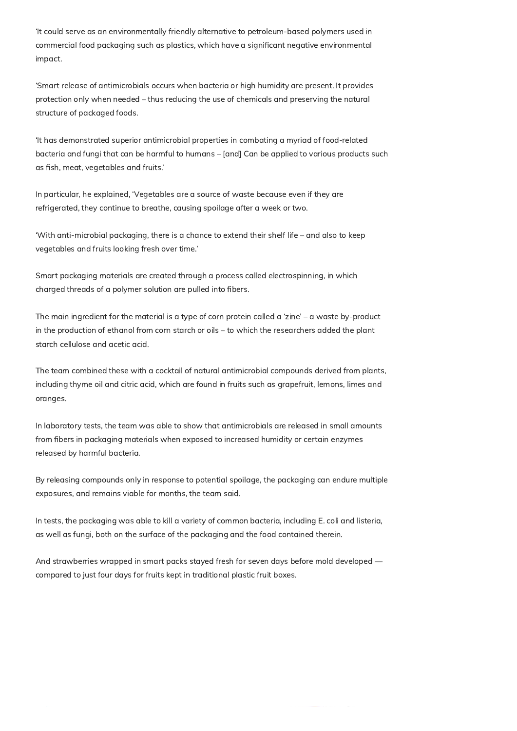'It could serve as an environmentally friendly alternative to petroleum-based polymers used in commercial food packaging such as plastics, which have a significant negative environmental impact.

'Smart release of antimicrobials occurs when bacteria or high humidity are present. It provides protection only when needed – thus reducing the use of chemicals and preserving the natural structure of packaged foods.

'It has demonstrated superior antimicrobial properties in combating a myriad of food-related bacteria and fungi that can be harmful to humans – [and] Can be applied to various products such as fish, meat, vegetables and fruits.'

In particular, he explained, 'Vegetables are a source of waste because even if they are refrigerated, they continue to breathe, causing spoilage after a week or two.

'With anti-microbial packaging, there is a chance to extend their shelf life – and also to keep vegetables and fruits looking fresh over time.'

Smart packaging materials are created through a process called electrospinning, in which charged threads of a polymer solution are pulled into fibers.

The main ingredient for the material is a type of corn protein called a 'zine' – a waste by-product in the production of ethanol from corn starch or oils – to which the researchers added the plant starch cellulose and acetic acid.

The team combined these with a cocktail of natural antimicrobial compounds derived from plants, including thyme oil and citric acid, which are found in fruits such as grapefruit, lemons, limes and oranges.

In laboratory tests, the team was able to show that antimicrobials are released in small amounts from fibers in packaging materials when exposed to increased humidity or certain enzymes released by harmful bacteria.

By releasing compounds only in response to potential spoilage, the packaging can endure multiple exposures, and remains viable for months, the team said.

In tests, the packaging was able to kill a variety of common bacteria, including E. coli and listeria, as well as fungi, both on the surface of the packaging and the food contained therein.

And strawberries wrapped in smart packs stayed fresh for seven days before mold developed compared to just four days for fruits kept in traditional plastic fruit boxes.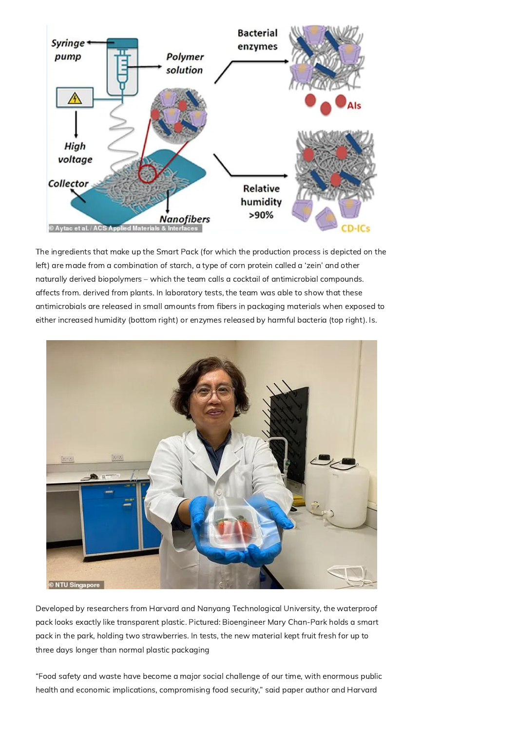

The ingredients that make up the Smart Pack (for which the production process is depicted on the left) are made from a combination of starch, a type of corn protein called a 'zein' and other naturally derived biopolymers – which the team calls a cocktail of antimicrobial compounds. affects from. derived from plants. In laboratory tests, the team was able to show that these antimicrobials are released in small amounts from fibers in packaging materials when exposed to either increased humidity (bottom right) or enzymes released by harmful bacteria (top right). Is.



Developed by researchers from Harvard and Nanyang Technological University, the waterproof pack looks exactly like transparent plastic. Pictured: Bioengineer Mary Chan-Park holds a smart pack in the park, holding two strawberries. In tests, the new material kept fruit fresh for up to three days longer than normal plastic packaging

"Food safety and waste have become a major social challenge of our time, with enormous public health and economic implications, compromising food security," said paper author and Harvard